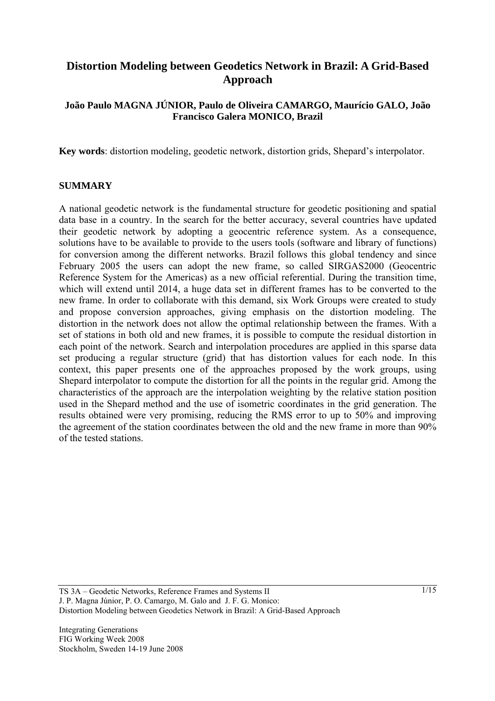# **Distortion Modeling between Geodetics Network in Brazil: A Grid-Based Approach**

### **João Paulo MAGNA JÚNIOR, Paulo de Oliveira CAMARGO, Maurício GALO, João Francisco Galera MONICO, Brazil**

**Key words**: distortion modeling, geodetic network, distortion grids, Shepard's interpolator.

#### **SUMMARY**

A national geodetic network is the fundamental structure for geodetic positioning and spatial data base in a country. In the search for the better accuracy, several countries have updated their geodetic network by adopting a geocentric reference system. As a consequence, solutions have to be available to provide to the users tools (software and library of functions) for conversion among the different networks. Brazil follows this global tendency and since February 2005 the users can adopt the new frame, so called SIRGAS2000 (Geocentric Reference System for the Americas) as a new official referential. During the transition time, which will extend until 2014, a huge data set in different frames has to be converted to the new frame. In order to collaborate with this demand, six Work Groups were created to study and propose conversion approaches, giving emphasis on the distortion modeling. The distortion in the network does not allow the optimal relationship between the frames. With a set of stations in both old and new frames, it is possible to compute the residual distortion in each point of the network. Search and interpolation procedures are applied in this sparse data set producing a regular structure (grid) that has distortion values for each node. In this context, this paper presents one of the approaches proposed by the work groups, using Shepard interpolator to compute the distortion for all the points in the regular grid. Among the characteristics of the approach are the interpolation weighting by the relative station position used in the Shepard method and the use of isometric coordinates in the grid generation. The results obtained were very promising, reducing the RMS error to up to 50% and improving the agreement of the station coordinates between the old and the new frame in more than 90% of the tested stations.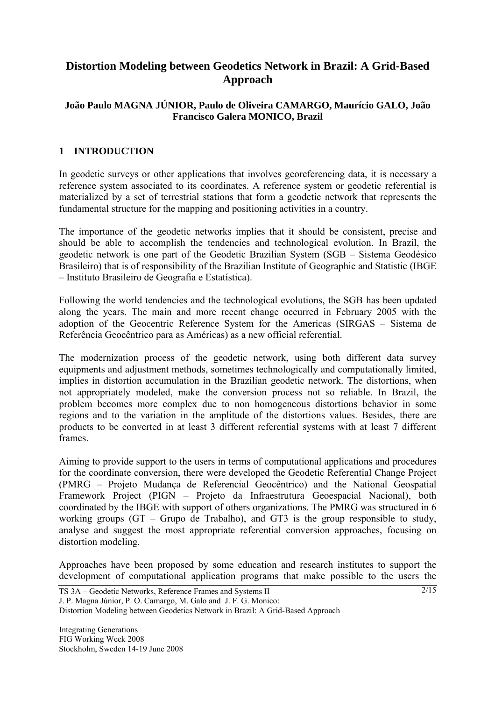# **Distortion Modeling between Geodetics Network in Brazil: A Grid-Based Approach**

### **João Paulo MAGNA JÚNIOR, Paulo de Oliveira CAMARGO, Maurício GALO, João Francisco Galera MONICO, Brazil**

# **1 INTRODUCTION**

In geodetic surveys or other applications that involves georeferencing data, it is necessary a reference system associated to its coordinates. A reference system or geodetic referential is materialized by a set of terrestrial stations that form a geodetic network that represents the fundamental structure for the mapping and positioning activities in a country.

The importance of the geodetic networks implies that it should be consistent, precise and should be able to accomplish the tendencies and technological evolution. In Brazil, the geodetic network is one part of the Geodetic Brazilian System (SGB – Sistema Geodésico Brasileiro) that is of responsibility of the Brazilian Institute of Geographic and Statistic (IBGE – Instituto Brasileiro de Geografia e Estatística).

Following the world tendencies and the technological evolutions, the SGB has been updated along the years. The main and more recent change occurred in February 2005 with the adoption of the Geocentric Reference System for the Americas (SIRGAS – Sistema de Referência Geocêntrico para as Américas) as a new official referential.

The modernization process of the geodetic network, using both different data survey equipments and adjustment methods, sometimes technologically and computationally limited, implies in distortion accumulation in the Brazilian geodetic network. The distortions, when not appropriately modeled, make the conversion process not so reliable. In Brazil, the problem becomes more complex due to non homogeneous distortions behavior in some regions and to the variation in the amplitude of the distortions values. Besides, there are products to be converted in at least 3 different referential systems with at least 7 different frames.

Aiming to provide support to the users in terms of computational applications and procedures for the coordinate conversion, there were developed the Geodetic Referential Change Project (PMRG – Projeto Mudança de Referencial Geocêntrico) and the National Geospatial Framework Project (PIGN – Projeto da Infraestrutura Geoespacial Nacional), both coordinated by the IBGE with support of others organizations. The PMRG was structured in 6 working groups (GT – Grupo de Trabalho), and GT3 is the group responsible to study, analyse and suggest the most appropriate referential conversion approaches, focusing on distortion modeling.

Approaches have been proposed by some education and research institutes to support the development of computational application programs that make possible to the users the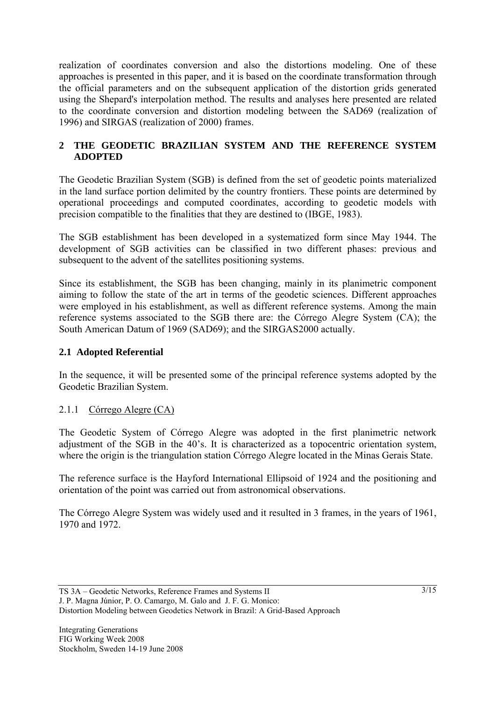realization of coordinates conversion and also the distortions modeling. One of these approaches is presented in this paper, and it is based on the coordinate transformation through the official parameters and on the subsequent application of the distortion grids generated using the Shepard's interpolation method. The results and analyses here presented are related to the coordinate conversion and distortion modeling between the SAD69 (realization of 1996) and SIRGAS (realization of 2000) frames.

# **2 THE GEODETIC BRAZILIAN SYSTEM AND THE REFERENCE SYSTEM ADOPTED**

The Geodetic Brazilian System (SGB) is defined from the set of geodetic points materialized in the land surface portion delimited by the country frontiers. These points are determined by operational proceedings and computed coordinates, according to geodetic models with precision compatible to the finalities that they are destined to (IBGE, 1983).

The SGB establishment has been developed in a systematized form since May 1944. The development of SGB activities can be classified in two different phases: previous and subsequent to the advent of the satellites positioning systems.

Since its establishment, the SGB has been changing, mainly in its planimetric component aiming to follow the state of the art in terms of the geodetic sciences. Different approaches were employed in his establishment, as well as different reference systems. Among the main reference systems associated to the SGB there are: the Córrego Alegre System (CA); the South American Datum of 1969 (SAD69); and the SIRGAS2000 actually.

# **2.1 Adopted Referential**

In the sequence, it will be presented some of the principal reference systems adopted by the Geodetic Brazilian System.

### 2.1.1 Córrego Alegre (CA)

The Geodetic System of Córrego Alegre was adopted in the first planimetric network adjustment of the SGB in the 40's. It is characterized as a topocentric orientation system, where the origin is the triangulation station Córrego Alegre located in the Minas Gerais State.

The reference surface is the Hayford International Ellipsoid of 1924 and the positioning and orientation of the point was carried out from astronomical observations.

The Córrego Alegre System was widely used and it resulted in 3 frames, in the years of 1961, 1970 and 1972.

TS 3A – Geodetic Networks, Reference Frames and Systems II J. P. Magna Júnior, P. O. Camargo, M. Galo and J. F. G. Monico: Distortion Modeling between Geodetics Network in Brazil: A Grid-Based Approach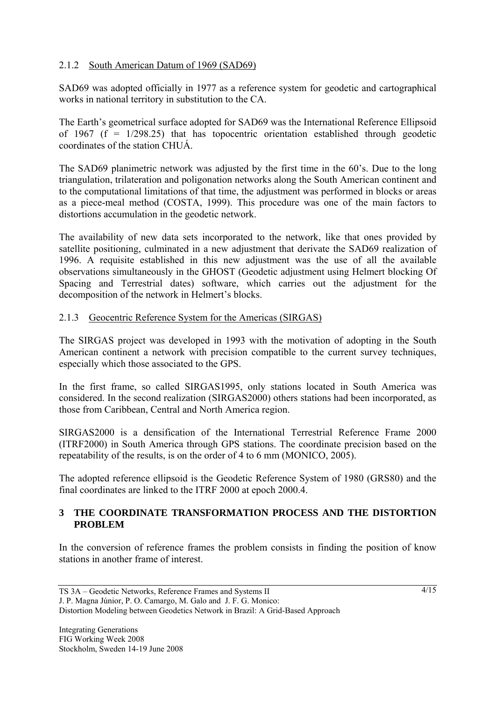## 2.1.2 South American Datum of 1969 (SAD69)

SAD69 was adopted officially in 1977 as a reference system for geodetic and cartographical works in national territory in substitution to the CA.

The Earth's geometrical surface adopted for SAD69 was the International Reference Ellipsoid of 1967 ( $f = 1/298.25$ ) that has topocentric orientation established through geodetic coordinates of the station CHUÁ.

The SAD69 planimetric network was adjusted by the first time in the 60's. Due to the long triangulation, trilateration and poligonation networks along the South American continent and to the computational limitations of that time, the adjustment was performed in blocks or areas as a piece-meal method (COSTA, 1999). This procedure was one of the main factors to distortions accumulation in the geodetic network.

The availability of new data sets incorporated to the network, like that ones provided by satellite positioning, culminated in a new adjustment that derivate the SAD69 realization of 1996. A requisite established in this new adjustment was the use of all the available observations simultaneously in the GHOST (Geodetic adjustment using Helmert blocking Of Spacing and Terrestrial dates) software, which carries out the adjustment for the decomposition of the network in Helmert's blocks.

### 2.1.3 Geocentric Reference System for the Americas (SIRGAS)

The SIRGAS project was developed in 1993 with the motivation of adopting in the South American continent a network with precision compatible to the current survey techniques, especially which those associated to the GPS.

In the first frame, so called SIRGAS1995, only stations located in South America was considered. In the second realization (SIRGAS2000) others stations had been incorporated, as those from Caribbean, Central and North America region.

SIRGAS2000 is a densification of the International Terrestrial Reference Frame 2000 (ITRF2000) in South America through GPS stations. The coordinate precision based on the repeatability of the results, is on the order of 4 to 6 mm (MONICO, 2005).

The adopted reference ellipsoid is the Geodetic Reference System of 1980 (GRS80) and the final coordinates are linked to the ITRF 2000 at epoch 2000.4.

### **3 THE COORDINATE TRANSFORMATION PROCESS AND THE DISTORTION PROBLEM**

In the conversion of reference frames the problem consists in finding the position of know stations in another frame of interest.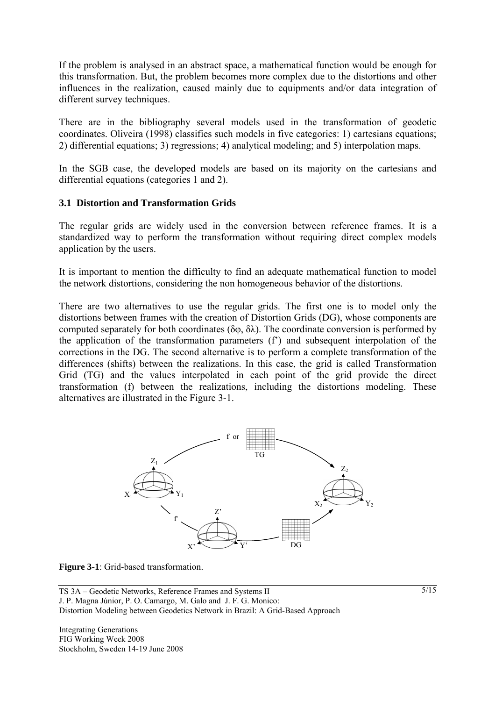If the problem is analysed in an abstract space, a mathematical function would be enough for this transformation. But, the problem becomes more complex due to the distortions and other influences in the realization, caused mainly due to equipments and/or data integration of different survey techniques.

There are in the bibliography several models used in the transformation of geodetic coordinates. Oliveira (1998) classifies such models in five categories: 1) cartesians equations; 2) differential equations; 3) regressions; 4) analytical modeling; and 5) interpolation maps.

In the SGB case, the developed models are based on its majority on the cartesians and differential equations (categories 1 and 2).

### **3.1 Distortion and Transformation Grids**

The regular grids are widely used in the conversion between reference frames. It is a standardized way to perform the transformation without requiring direct complex models application by the users.

It is important to mention the difficulty to find an adequate mathematical function to model the network distortions, considering the non homogeneous behavior of the distortions.

There are two alternatives to use the regular grids. The first one is to model only the distortions between frames with the creation of Distortion Grids (DG), whose components are computed separately for both coordinates ( $\delta\varphi$ ,  $\delta\lambda$ ). The coordinate conversion is performed by the application of the transformation parameters (f') and subsequent interpolation of the corrections in the DG. The second alternative is to perform a complete transformation of the differences (shifts) between the realizations. In this case, the grid is called Transformation Grid (TG) and the values interpolated in each point of the grid provide the direct transformation (f) between the realizations, including the distortions modeling. These alternatives are illustrated in the Figure 3-1.



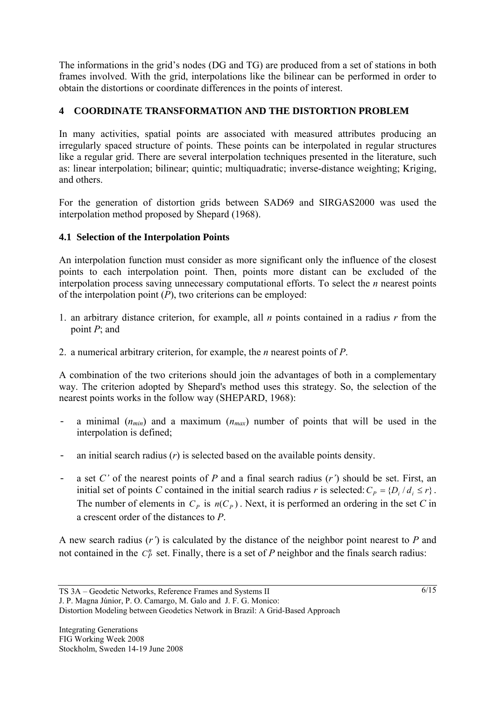The informations in the grid's nodes (DG and TG) are produced from a set of stations in both frames involved. With the grid, interpolations like the bilinear can be performed in order to obtain the distortions or coordinate differences in the points of interest.

# **4 COORDINATE TRANSFORMATION AND THE DISTORTION PROBLEM**

In many activities, spatial points are associated with measured attributes producing an irregularly spaced structure of points. These points can be interpolated in regular structures like a regular grid. There are several interpolation techniques presented in the literature, such as: linear interpolation; bilinear; quintic; multiquadratic; inverse-distance weighting; Kriging, and others.

For the generation of distortion grids between SAD69 and SIRGAS2000 was used the interpolation method proposed by Shepard (1968).

# **4.1 Selection of the Interpolation Points**

An interpolation function must consider as more significant only the influence of the closest points to each interpolation point. Then, points more distant can be excluded of the interpolation process saving unnecessary computational efforts. To select the *n* nearest points of the interpolation point (*P*), two criterions can be employed:

- 1. an arbitrary distance criterion, for example, all *n* points contained in a radius *r* from the point *P*; and
- 2. a numerical arbitrary criterion, for example, the *n* nearest points of *P*.

A combination of the two criterions should join the advantages of both in a complementary way. The criterion adopted by Shepard's method uses this strategy. So, the selection of the nearest points works in the follow way (SHEPARD, 1968):

- a minimal  $(n_{min})$  and a maximum  $(n_{max})$  number of points that will be used in the interpolation is defined;
- an initial search radius (*r*) is selected based on the available points density.
- a set *C'* of the nearest points of *P* and a final search radius (*r'*) should be set. First, an initial set of points *C* contained in the initial search radius *r* is selected:  $C_p = \{D_i / d_i \le r\}$ . The number of elements in  $C_P$  is  $n(C_P)$ . Next, it is performed an ordering in the set *C* in a crescent order of the distances to *P*.

A new search radius (*r'*) is calculated by the distance of the neighbor point nearest to *P* and not contained in the  $C_p^n$  set. Finally, there is a set of *P* neighbor and the finals search radius: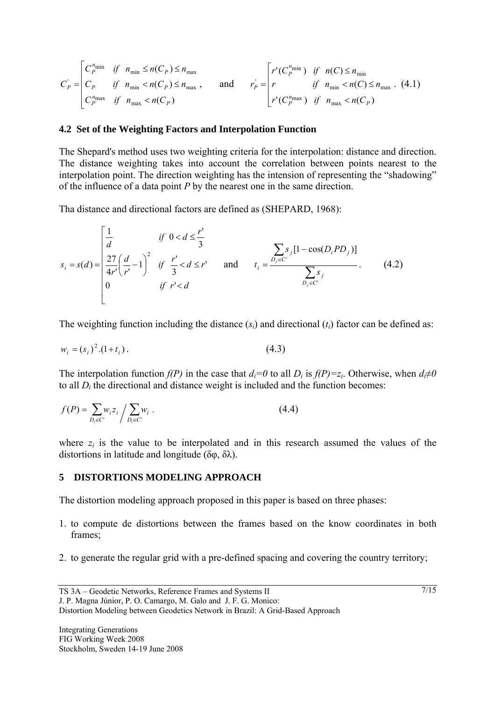$$
C_{P}^{'} = \begin{bmatrix} C_{P}^{n_{\min}} & \text{if} & n_{\min} \le n(C_{P}) \le n_{\max} \\ C_{P} & \text{if} & n_{\min} < n(C_{P}) \le n_{\max} \\ C_{P}^{n_{\max}} & \text{if} & n_{\max} < n(C_{P}) \end{bmatrix} \times n_{\max}, \quad \text{and} \quad r_{P}^{'} = \begin{bmatrix} r'(C_{P}^{n_{\min}}) & \text{if} & n(C) \le n_{\min} \\ r & \text{if} & n_{\min} < n(C) \le n_{\max} \\ r'(C_{P}^{n_{\max}}) & \text{if} & n_{\max} < n(C_{P}) \end{bmatrix} \tag{4.1}
$$

#### **4.2 Set of the Weighting Factors and Interpolation Function**

The Shepard's method uses two weighting criteria for the interpolation: distance and direction. The distance weighting takes into account the correlation between points nearest to the interpolation point. The direction weighting has the intension of representing the "shadowing" of the influence of a data point *P* by the nearest one in the same direction.

Tha distance and directional factors are defined as (SHEPARD, 1968):

$$
s_{i} = s(d) = \begin{bmatrix} \frac{1}{d} & \text{if } 0 < d \leq \frac{r'}{3} \\ \frac{27}{4r'} \left( \frac{d}{r'} - 1 \right)^{2} & \text{if } \frac{r'}{3} < d \leq r' \\ 0 & \text{if } r' < d \end{bmatrix} \quad \text{and} \quad t_{i} = \frac{\sum_{j \in C'} s_{j} [1 - \cos(D_{i}PD_{j})]}{\sum_{D_{j} \in C'} s_{j}}. \tag{4.2}
$$

The weighting function including the distance (*si*) and directional (*ti*) factor can be defined as:

$$
w_i = (s_i)^2 (1 + t_i). \tag{4.3}
$$

The interpolation function *f(P)* in the case that  $d_i=0$  to all  $D_i$  is  $f(P)=z_i$ . Otherwise, when  $d_i\neq 0$ to all *Di* the directional and distance weight is included and the function becomes:

$$
f(P) = \sum_{D_i \in C'} w_i z_i / \sum_{D_i \in C'} w_i .
$$
 (4.4)

where  $z_i$  is the value to be interpolated and in this research assumed the values of the distortions in latitude and longitude (δφ, δλ).

#### **5 DISTORTIONS MODELING APPROACH**

The distortion modeling approach proposed in this paper is based on three phases:

- 1. to compute de distortions between the frames based on the know coordinates in both frames;
- 2. to generate the regular grid with a pre-defined spacing and covering the country territory;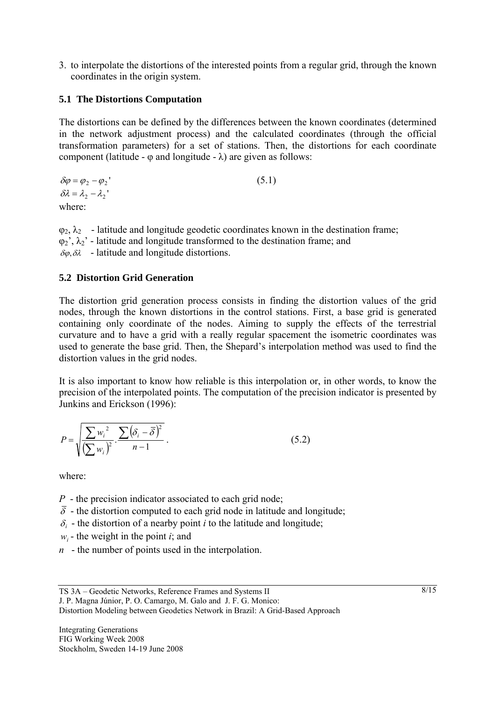3. to interpolate the distortions of the interested points from a regular grid, through the known coordinates in the origin system.

## **5.1 The Distortions Computation**

The distortions can be defined by the differences between the known coordinates (determined in the network adjustment process) and the calculated coordinates (through the official transformation parameters) for a set of stations. Then, the distortions for each coordinate component (latitude -  $\varphi$  and longitude -  $\lambda$ ) are given as follows:

 $\delta \varphi = \varphi_2 - \varphi_2$ ' (5.1)  $\delta \lambda = \lambda_2 - \lambda_2$ where:

 $\varphi_2$ ,  $\lambda_2$  - latitude and longitude geodetic coordinates known in the destination frame;  $\varphi_2$ <sup>'</sup>,  $\lambda_2$ <sup>'</sup> - latitude and longitude transformed to the destination frame; and  $\delta\varphi, \delta\lambda$  - latitude and longitude distortions.

### **5.2 Distortion Grid Generation**

The distortion grid generation process consists in finding the distortion values of the grid nodes, through the known distortions in the control stations. First, a base grid is generated containing only coordinate of the nodes. Aiming to supply the effects of the terrestrial curvature and to have a grid with a really regular spacement the isometric coordinates was used to generate the base grid. Then, the Shepard's interpolation method was used to find the distortion values in the grid nodes.

It is also important to know how reliable is this interpolation or, in other words, to know the precision of the interpolated points. The computation of the precision indicator is presented by Junkins and Erickson (1996):

$$
P = \sqrt{\frac{\sum w_i^2}{\left(\sum w_i\right)^2} \cdot \frac{\sum (\delta_i - \overline{\delta})^2}{n - 1}}.
$$
\n(5.2)

where:

*P* - the precision indicator associated to each grid node;

- $\overline{\delta}$  the distortion computed to each grid node in latitude and longitude;
- $\delta_i$  the distortion of a nearby point *i* to the latitude and longitude;
- $w_i$  the weight in the point *i*; and
- *n* the number of points used in the interpolation.

Distortion Modeling between Geodetics Network in Brazil: A Grid-Based Approach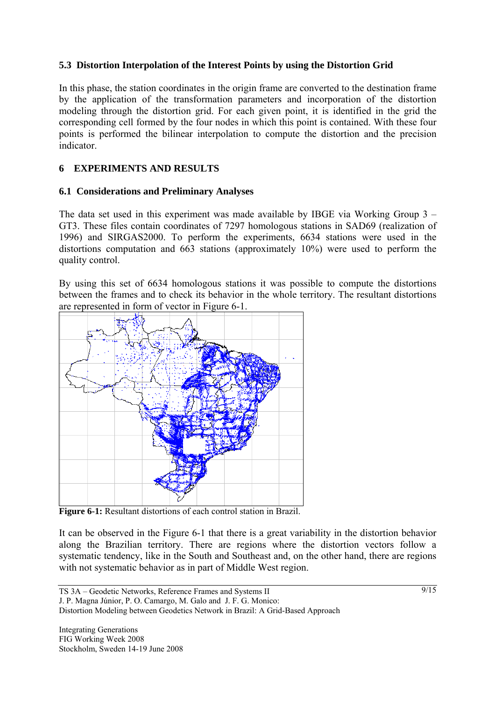## **5.3 Distortion Interpolation of the Interest Points by using the Distortion Grid**

In this phase, the station coordinates in the origin frame are converted to the destination frame by the application of the transformation parameters and incorporation of the distortion modeling through the distortion grid. For each given point, it is identified in the grid the corresponding cell formed by the four nodes in which this point is contained. With these four points is performed the bilinear interpolation to compute the distortion and the precision indicator.

### **6 EXPERIMENTS AND RESULTS**

### **6.1 Considerations and Preliminary Analyses**

The data set used in this experiment was made available by IBGE via Working Group 3 – GT3. These files contain coordinates of 7297 homologous stations in SAD69 (realization of 1996) and SIRGAS2000. To perform the experiments, 6634 stations were used in the distortions computation and 663 stations (approximately 10%) were used to perform the quality control.

By using this set of 6634 homologous stations it was possible to compute the distortions between the frames and to check its behavior in the whole territory. The resultant distortions are represented in form of vector in Figure 6-1.



**Figure 6-1:** Resultant distortions of each control station in Brazil.

It can be observed in the Figure 6-1 that there is a great variability in the distortion behavior along the Brazilian territory. There are regions where the distortion vectors follow a systematic tendency, like in the South and Southeast and, on the other hand, there are regions with not systematic behavior as in part of Middle West region.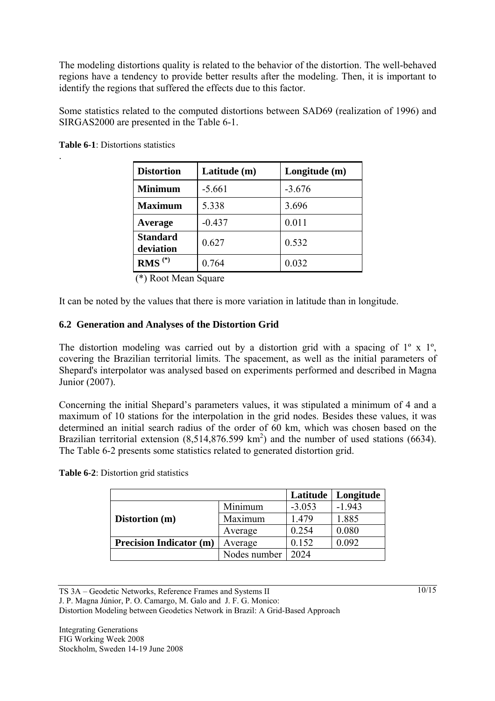The modeling distortions quality is related to the behavior of the distortion. The well-behaved regions have a tendency to provide better results after the modeling. Then, it is important to identify the regions that suffered the effects due to this factor.

Some statistics related to the computed distortions between SAD69 (realization of 1996) and SIRGAS2000 are presented in the Table 6-1.

**Table 6-1**: Distortions statistics

.

| <b>Distortion</b>            | Latitude (m) | Longitude (m) |
|------------------------------|--------------|---------------|
| <b>Minimum</b>               | $-5.661$     | $-3.676$      |
| <b>Maximum</b>               | 5.338        | 3.696         |
| Average                      | $-0.437$     | 0.011         |
| <b>Standard</b><br>deviation | 0.627        | 0.532         |
| $RMS(*)$                     | 0.764        | 0.032         |

 <sup>(\*)</sup> Root Mean Square

It can be noted by the values that there is more variation in latitude than in longitude.

### **6.2 Generation and Analyses of the Distortion Grid**

The distortion modeling was carried out by a distortion grid with a spacing of 1<sup>o</sup> x 1<sup>o</sup>, covering the Brazilian territorial limits. The spacement, as well as the initial parameters of Shepard's interpolator was analysed based on experiments performed and described in Magna Junior (2007).

Concerning the initial Shepard's parameters values, it was stipulated a minimum of 4 and a maximum of 10 stations for the interpolation in the grid nodes. Besides these values, it was determined an initial search radius of the order of 60 km, which was chosen based on the Brazilian territorial extension  $(8,514,876.599 \text{ km}^2)$  and the number of used stations (6634). The Table 6-2 presents some statistics related to generated distortion grid.

|                                |              | Latitude | Longitude |
|--------------------------------|--------------|----------|-----------|
|                                | Minimum      | $-3.053$ | $-1.943$  |
| Distortion (m)                 | Maximum      | 1.479    | 1.885     |
|                                | Average      | 0.254    | 0.080     |
| <b>Precision Indicator (m)</b> | Average      | 0.152    | 0.092     |
|                                | Nodes number | 2024     |           |

**Table 6-2**: Distortion grid statistics

TS 3A – Geodetic Networks, Reference Frames and Systems II

J. P. Magna Júnior, P. O. Camargo, M. Galo and J. F. G. Monico:

Distortion Modeling between Geodetics Network in Brazil: A Grid-Based Approach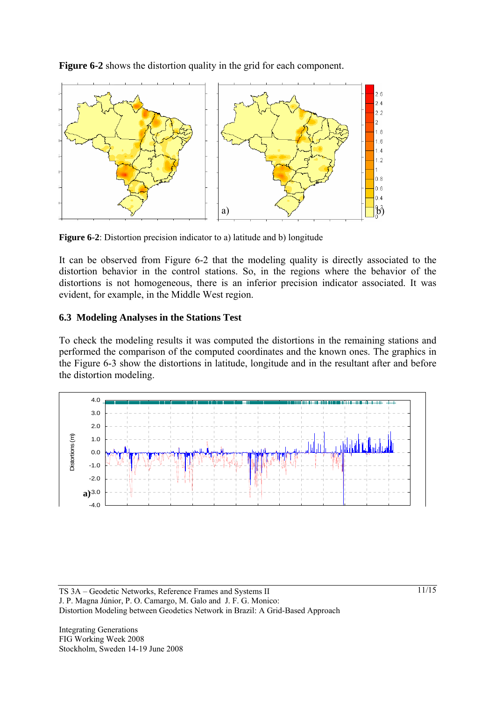**Figure 6-2** shows the distortion quality in the grid for each component.



**Figure 6-2**: Distortion precision indicator to a) latitude and b) longitude

It can be observed from Figure 6-2 that the modeling quality is directly associated to the distortion behavior in the control stations. So, in the regions where the behavior of the distortions is not homogeneous, there is an inferior precision indicator associated. It was evident, for example, in the Middle West region.

### **6.3 Modeling Analyses in the Stations Test**

To check the modeling results it was computed the distortions in the remaining stations and performed the comparison of the computed coordinates and the known ones. The graphics in the Figure 6-3 show the distortions in latitude, longitude and in the resultant after and before the distortion modeling.

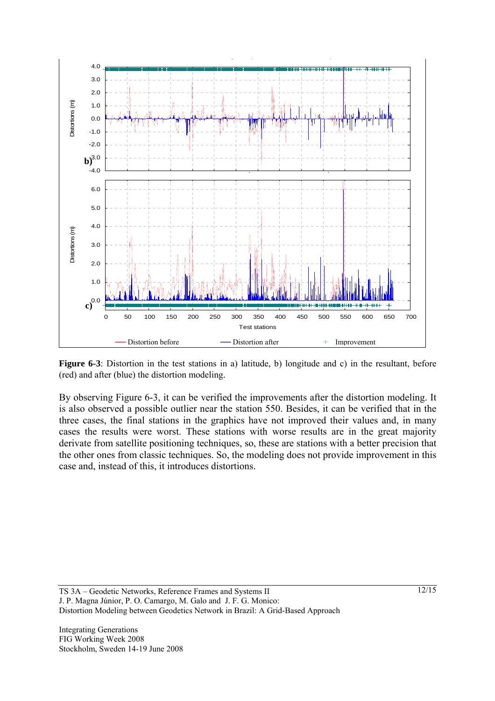

**Figure 6-3**: Distortion in the test stations in a) latitude, b) longitude and c) in the resultant, before (red) and after (blue) the distortion modeling.

By observing Figure 6-3, it can be verified the improvements after the distortion modeling. It is also observed a possible outlier near the station 550. Besides, it can be verified that in the three cases, the final stations in the graphics have not improved their values and, in many cases the results were worst. These stations with worse results are in the great majority derivate from satellite positioning techniques, so, these are stations with a better precision that the other ones from classic techniques. So, the modeling does not provide improvement in this case and, instead of this, it introduces distortions.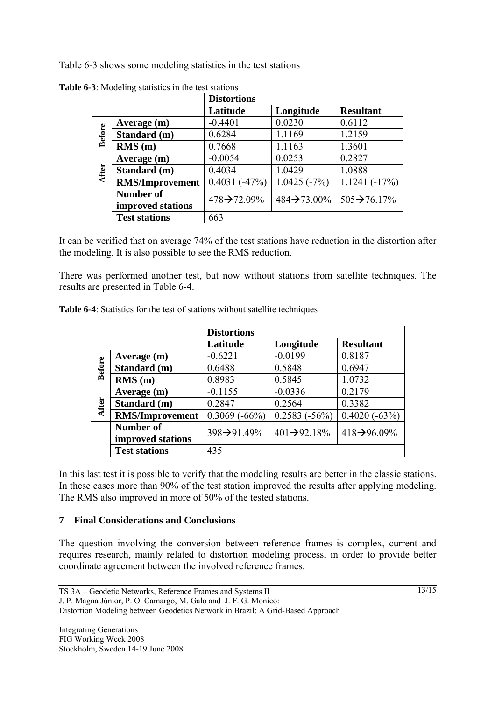Table 6-3 shows some modeling statistics in the test stations

|               |                        | <b>Distortions</b>        |                           |                           |
|---------------|------------------------|---------------------------|---------------------------|---------------------------|
|               |                        | Latitude                  | Longitude                 | <b>Resultant</b>          |
| <b>Before</b> | Average (m)            | $-0.4401$                 | 0.0230                    | 0.6112                    |
|               | Standard (m)           | 0.6284                    | 1.1169                    | 1.2159                    |
|               | RMS(m)                 | 0.7668                    | 1.1163                    | 1.3601                    |
| After         | Average (m)            | $-0.0054$                 | 0.0253                    | 0.2827                    |
|               | Standard (m)           | 0.4034                    | 1.0429                    | 1.0888                    |
|               | <b>RMS/Improvement</b> | $0.4031(-47%)$            | $1.0425(-7%)$             | $1.1241(-17%)$            |
|               | <b>Number of</b>       | $478 \rightarrow 72.09\%$ | $484 \rightarrow 73.00\%$ | $505 \rightarrow 76.17\%$ |
|               | improved stations      |                           |                           |                           |
|               | <b>Test stations</b>   | 663                       |                           |                           |

**Table 6-3**: Modeling statistics in the test stations

It can be verified that on average 74% of the test stations have reduction in the distortion after the modeling. It is also possible to see the RMS reduction.

There was performed another test, but now without stations from satellite techniques. The results are presented in Table 6-4.

|               |                        | <b>Distortions</b>        |                           |                           |
|---------------|------------------------|---------------------------|---------------------------|---------------------------|
|               |                        | Latitude                  | Longitude                 | <b>Resultant</b>          |
| <b>Before</b> | Average (m)            | $-0.6221$                 | $-0.0199$                 | 0.8187                    |
|               | Standard (m)           | 0.6488                    | 0.5848                    | 0.6947                    |
|               | RMS(m)                 | 0.8983                    | 0.5845                    | 1.0732                    |
| After         | Average (m)            | $-0.1155$                 | $-0.0336$                 | 0.2179                    |
|               | Standard (m)           | 0.2847                    | 0.2564                    | 0.3382                    |
|               | <b>RMS/Improvement</b> | $0.3069(-66%)$            | $0.2583(-56%)$            | $0.4020(-63%)$            |
|               | Number of              | $398 \rightarrow 91.49\%$ | $401 \rightarrow 92.18\%$ | $418 \rightarrow 96.09\%$ |
|               | improved stations      |                           |                           |                           |
|               | <b>Test stations</b>   | 435                       |                           |                           |

**Table 6-4**: Statistics for the test of stations without satellite techniques

In this last test it is possible to verify that the modeling results are better in the classic stations. In these cases more than 90% of the test station improved the results after applying modeling. The RMS also improved in more of 50% of the tested stations.

### **7 Final Considerations and Conclusions**

The question involving the conversion between reference frames is complex, current and requires research, mainly related to distortion modeling process, in order to provide better coordinate agreement between the involved reference frames.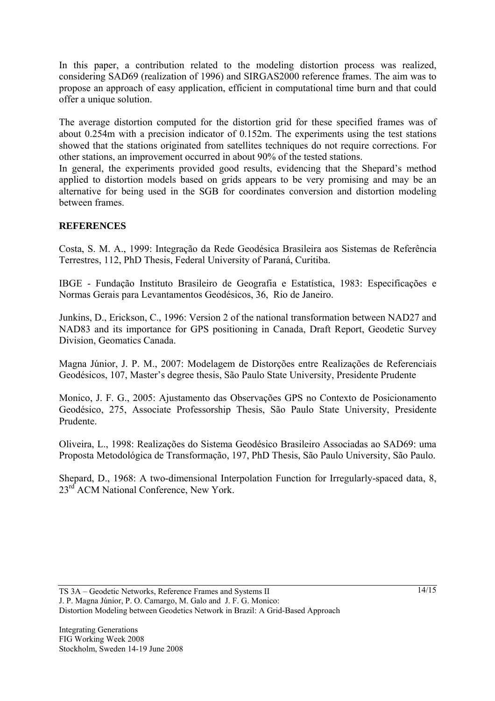In this paper, a contribution related to the modeling distortion process was realized, considering SAD69 (realization of 1996) and SIRGAS2000 reference frames. The aim was to propose an approach of easy application, efficient in computational time burn and that could offer a unique solution.

The average distortion computed for the distortion grid for these specified frames was of about 0.254m with a precision indicator of 0.152m. The experiments using the test stations showed that the stations originated from satellites techniques do not require corrections. For other stations, an improvement occurred in about 90% of the tested stations.

In general, the experiments provided good results, evidencing that the Shepard's method applied to distortion models based on grids appears to be very promising and may be an alternative for being used in the SGB for coordinates conversion and distortion modeling between frames.

# **REFERENCES**

Costa, S. M. A., 1999: Integração da Rede Geodésica Brasileira aos Sistemas de Referência Terrestres, 112, PhD Thesis, Federal University of Paraná, Curitiba.

IBGE - Fundação Instituto Brasileiro de Geografia e Estatística, 1983: Especificações e Normas Gerais para Levantamentos Geodésicos, 36, Rio de Janeiro.

Junkins, D., Erickson, C., 1996: Version 2 of the national transformation between NAD27 and NAD83 and its importance for GPS positioning in Canada, Draft Report, Geodetic Survey Division, Geomatics Canada.

Magna Júnior, J. P. M., 2007: Modelagem de Distorções entre Realizações de Referenciais Geodésicos, 107, Master's degree thesis, São Paulo State University, Presidente Prudente

Monico, J. F. G., 2005: Ajustamento das Observações GPS no Contexto de Posicionamento Geodésico, 275, Associate Professorship Thesis, São Paulo State University, Presidente Prudente.

Oliveira, L., 1998: Realizações do Sistema Geodésico Brasileiro Associadas ao SAD69: uma Proposta Metodológica de Transformação, 197, PhD Thesis, São Paulo University, São Paulo.

Shepard, D., 1968: A two-dimensional Interpolation Function for Irregularly-spaced data, 8, 23<sup>rd</sup> ACM National Conference, New York.